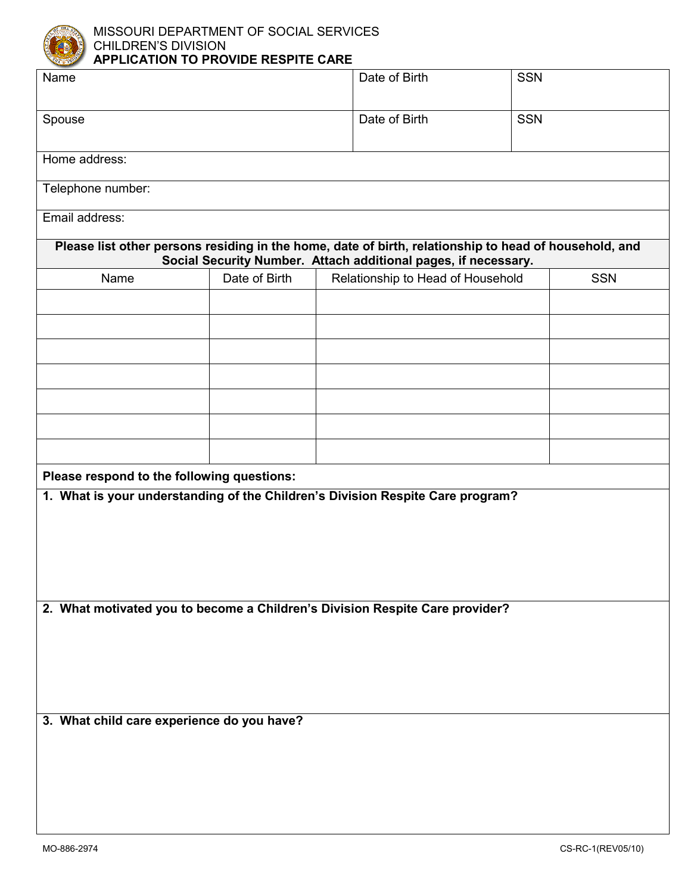

MISSOURI DEPARTMENT OF SOCIAL SERVICES CHILDREN'S DIVISION **APPLICATION TO PROVIDE RESPITE CARE**

| Name                                                                                                                                                                    |                                                    |  | Date of Birth | <b>SSN</b> |            |  |  |  |
|-------------------------------------------------------------------------------------------------------------------------------------------------------------------------|----------------------------------------------------|--|---------------|------------|------------|--|--|--|
| Spouse                                                                                                                                                                  |                                                    |  | Date of Birth | <b>SSN</b> |            |  |  |  |
| Home address:                                                                                                                                                           |                                                    |  |               |            |            |  |  |  |
| Telephone number:                                                                                                                                                       |                                                    |  |               |            |            |  |  |  |
| Email address:                                                                                                                                                          |                                                    |  |               |            |            |  |  |  |
| Please list other persons residing in the home, date of birth, relationship to head of household, and<br>Social Security Number. Attach additional pages, if necessary. |                                                    |  |               |            |            |  |  |  |
| Name                                                                                                                                                                    | Date of Birth<br>Relationship to Head of Household |  |               |            | <b>SSN</b> |  |  |  |
|                                                                                                                                                                         |                                                    |  |               |            |            |  |  |  |
|                                                                                                                                                                         |                                                    |  |               |            |            |  |  |  |
|                                                                                                                                                                         |                                                    |  |               |            |            |  |  |  |
|                                                                                                                                                                         |                                                    |  |               |            |            |  |  |  |
|                                                                                                                                                                         |                                                    |  |               |            |            |  |  |  |
|                                                                                                                                                                         |                                                    |  |               |            |            |  |  |  |
|                                                                                                                                                                         |                                                    |  |               |            |            |  |  |  |
|                                                                                                                                                                         |                                                    |  |               |            |            |  |  |  |
| Please respond to the following questions:                                                                                                                              |                                                    |  |               |            |            |  |  |  |
| 1. What is your understanding of the Children's Division Respite Care program?                                                                                          |                                                    |  |               |            |            |  |  |  |
|                                                                                                                                                                         |                                                    |  |               |            |            |  |  |  |
|                                                                                                                                                                         |                                                    |  |               |            |            |  |  |  |
|                                                                                                                                                                         |                                                    |  |               |            |            |  |  |  |
|                                                                                                                                                                         |                                                    |  |               |            |            |  |  |  |
|                                                                                                                                                                         |                                                    |  |               |            |            |  |  |  |
| 2. What motivated you to become a Children's Division Respite Care provider?                                                                                            |                                                    |  |               |            |            |  |  |  |
|                                                                                                                                                                         |                                                    |  |               |            |            |  |  |  |
|                                                                                                                                                                         |                                                    |  |               |            |            |  |  |  |
|                                                                                                                                                                         |                                                    |  |               |            |            |  |  |  |
|                                                                                                                                                                         |                                                    |  |               |            |            |  |  |  |
|                                                                                                                                                                         |                                                    |  |               |            |            |  |  |  |
| 3. What child care experience do you have?                                                                                                                              |                                                    |  |               |            |            |  |  |  |
|                                                                                                                                                                         |                                                    |  |               |            |            |  |  |  |
|                                                                                                                                                                         |                                                    |  |               |            |            |  |  |  |
|                                                                                                                                                                         |                                                    |  |               |            |            |  |  |  |
|                                                                                                                                                                         |                                                    |  |               |            |            |  |  |  |
|                                                                                                                                                                         |                                                    |  |               |            |            |  |  |  |